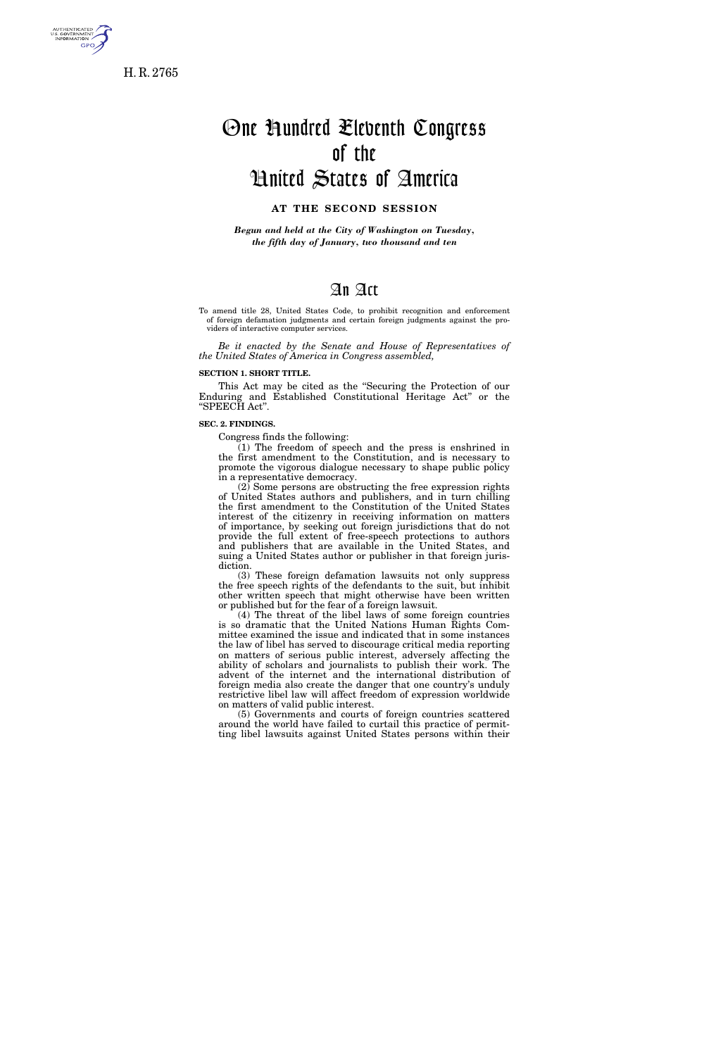

H. R. 2765

# One Hundred Eleventh Congress of the United States of America

# **AT THE SECOND SESSION**

*Begun and held at the City of Washington on Tuesday, the fifth day of January, two thousand and ten* 

# An Act

To amend title 28, United States Code, to prohibit recognition and enforcement of foreign defamation judgments and certain foreign judgments against the providers of interactive computer services.

*Be it enacted by the Senate and House of Representatives of the United States of America in Congress assembled,* 

#### **SECTION 1. SHORT TITLE.**

This Act may be cited as the ''Securing the Protection of our Enduring and Established Constitutional Heritage Act'' or the ''SPEECH Act''.

#### **SEC. 2. FINDINGS.**

Congress finds the following:

 $(1)$  The freedom of speech and the press is enshrined in the first amendment to the Constitution, and is necessary to promote the vigorous dialogue necessary to shape public policy in a representative democracy.

 $(2)$  Some persons are obstructing the free expression rights of United States authors and publishers, and in turn chilling the first amendment to the Constitution of the United States interest of the citizenry in receiving information on matters of importance, by seeking out foreign jurisdictions that do not provide the full extent of free-speech protections to authors and publishers that are available in the United States, and suing a United States author or publisher in that foreign jurisdiction.

(3) These foreign defamation lawsuits not only suppress the free speech rights of the defendants to the suit, but inhibit other written speech that might otherwise have been written or published but for the fear of a foreign lawsuit.

(4) The threat of the libel laws of some foreign countries is so dramatic that the United Nations Human Rights Committee examined the issue and indicated that in some instances the law of libel has served to discourage critical media reporting on matters of serious public interest, adversely affecting the ability of scholars and journalists to publish their work. The advent of the internet and the international distribution of foreign media also create the danger that one country's unduly restrictive libel law will affect freedom of expression worldwide on matters of valid public interest.

(5) Governments and courts of foreign countries scattered around the world have failed to curtail this practice of permitting libel lawsuits against United States persons within their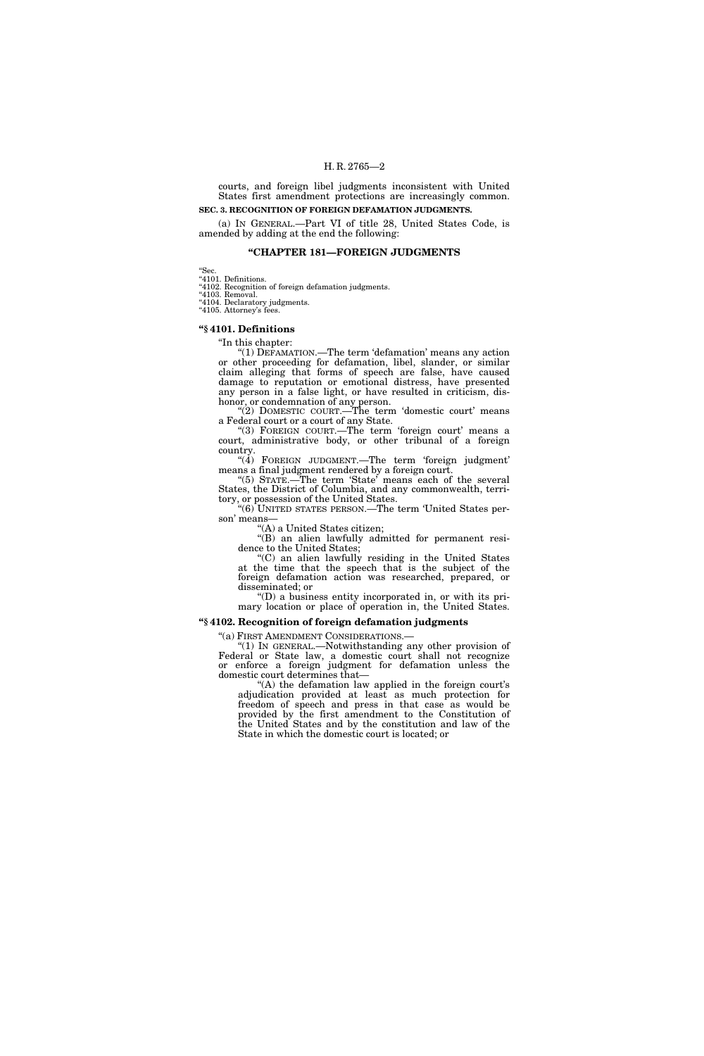#### H. R. 2765—2

courts, and foreign libel judgments inconsistent with United States first amendment protections are increasingly common.

#### **SEC. 3. RECOGNITION OF FOREIGN DEFAMATION JUDGMENTS.**

(a) IN GENERAL.—Part VI of title 28, United States Code, is amended by adding at the end the following:

#### **''CHAPTER 181—FOREIGN JUDGMENTS**

''Sec. ''4101. Definitions.

''4102. Recognition of foreign defamation judgments.

''4103. Removal. ''4104. Declaratory judgments.

"4105. Attorney's fees.

#### **''§ 4101. Definitions**

# ''In this chapter:

''(1) DEFAMATION.—The term 'defamation' means any action or other proceeding for defamation, libel, slander, or similar claim alleging that forms of speech are false, have caused damage to reputation or emotional distress, have presented any person in a false light, or have resulted in criticism, dishonor, or condemnation of any person.

"(2) DOMESTIC COURT.—The term 'domestic court' means a Federal court or a court of any State.

"(3) FOREIGN COURT.—The term 'foreign court' means a court, administrative body, or other tribunal of a foreign country.

" $(4)$  FOREIGN JUDGMENT.—The term 'foreign judgment' means a final judgment rendered by a foreign court.

"(5) STATE.—The term 'State' means each of the several States, the District of Columbia, and any commonwealth, territory, or possession of the United States.

''(6) UNITED STATES PERSON.—The term 'United States person' means—

''(A) a United States citizen;

''(B) an alien lawfully admitted for permanent residence to the United States;

''(C) an alien lawfully residing in the United States at the time that the speech that is the subject of the foreign defamation action was researched, prepared, or disseminated; or

''(D) a business entity incorporated in, or with its primary location or place of operation in, the United States.

#### **''§ 4102. Recognition of foreign defamation judgments**

"(a) FIRST AMENDMENT CONSIDERATIONS.-

''(1) IN GENERAL.—Notwithstanding any other provision of Federal or State law, a domestic court shall not recognize or enforce a foreign judgment for defamation unless the domestic court determines that—

"(A) the defamation law applied in the foreign court's adjudication provided at least as much protection for freedom of speech and press in that case as would be provided by the first amendment to the Constitution of the United States and by the constitution and law of the State in which the domestic court is located; or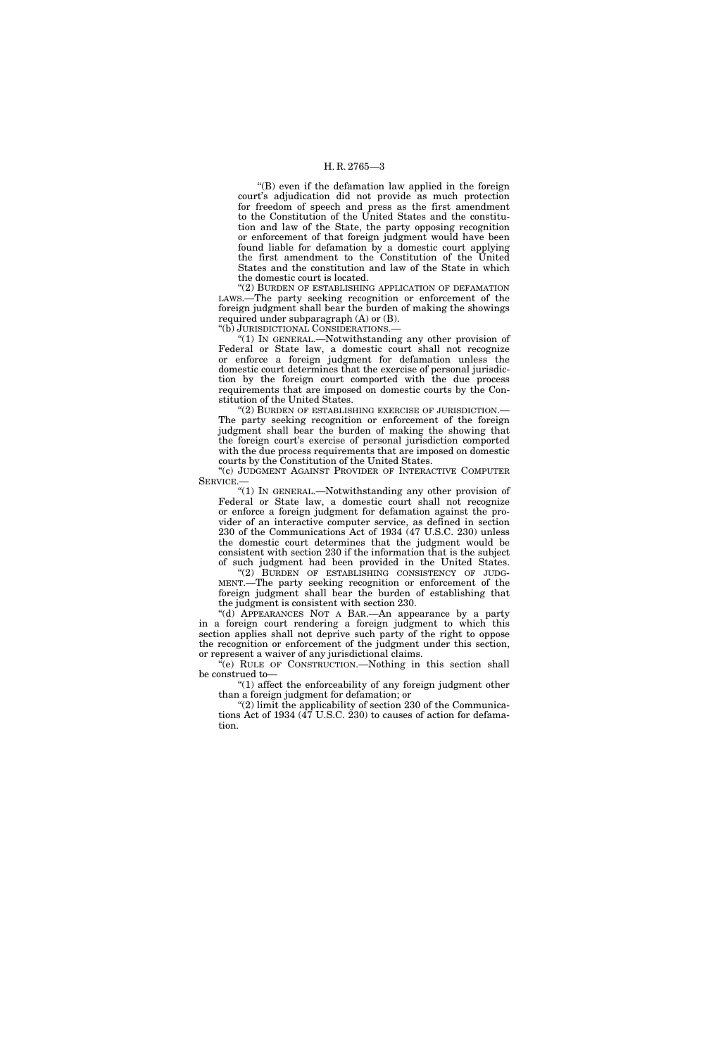#### H. R. 2765—3

''(B) even if the defamation law applied in the foreign court's adjudication did not provide as much protection for freedom of speech and press as the first amendment to the Constitution of the United States and the constitution and law of the State, the party opposing recognition or enforcement of that foreign judgment would have been found liable for defamation by a domestic court applying the first amendment to the Constitution of the United States and the constitution and law of the State in which the domestic court is located.

''(2) BURDEN OF ESTABLISHING APPLICATION OF DEFAMATION LAWS.—The party seeking recognition or enforcement of the foreign judgment shall bear the burden of making the showings required under subparagraph (A) or (B).

''(b) JURISDICTIONAL CONSIDERATIONS.—

''(1) IN GENERAL.—Notwithstanding any other provision of Federal or State law, a domestic court shall not recognize or enforce a foreign judgment for defamation unless the domestic court determines that the exercise of personal jurisdiction by the foreign court comported with the due process requirements that are imposed on domestic courts by the Constitution of the United States.

''(2) BURDEN OF ESTABLISHING EXERCISE OF JURISDICTION.— The party seeking recognition or enforcement of the foreign judgment shall bear the burden of making the showing that the foreign court's exercise of personal jurisdiction comported with the due process requirements that are imposed on domestic courts by the Constitution of the United States.

"(c) JUDGMENT AGAINST PROVIDER OF INTERACTIVE COMPUTER SERVICE.—

''(1) IN GENERAL.—Notwithstanding any other provision of Federal or State law, a domestic court shall not recognize or enforce a foreign judgment for defamation against the provider of an interactive computer service, as defined in section 230 of the Communications Act of 1934 (47 U.S.C. 230) unless the domestic court determines that the judgment would be consistent with section 230 if the information that is the subject of such judgment had been provided in the United States.

"(2) BURDEN OF ESTABLISHING CONSISTENCY OF JUDG-MENT.—The party seeking recognition or enforcement of the foreign judgment shall bear the burden of establishing that the judgment is consistent with section 230.

''(d) APPEARANCES NOT A BAR.—An appearance by a party in a foreign court rendering a foreign judgment to which this section applies shall not deprive such party of the right to oppose the recognition or enforcement of the judgment under this section, or represent a waiver of any jurisdictional claims.

''(e) RULE OF CONSTRUCTION.—Nothing in this section shall be construed to—

''(1) affect the enforceability of any foreign judgment other than a foreign judgment for defamation; or

"(2) limit the applicability of section 230 of the Communications Act of 1934 (47 U.S.C. 230) to causes of action for defamation.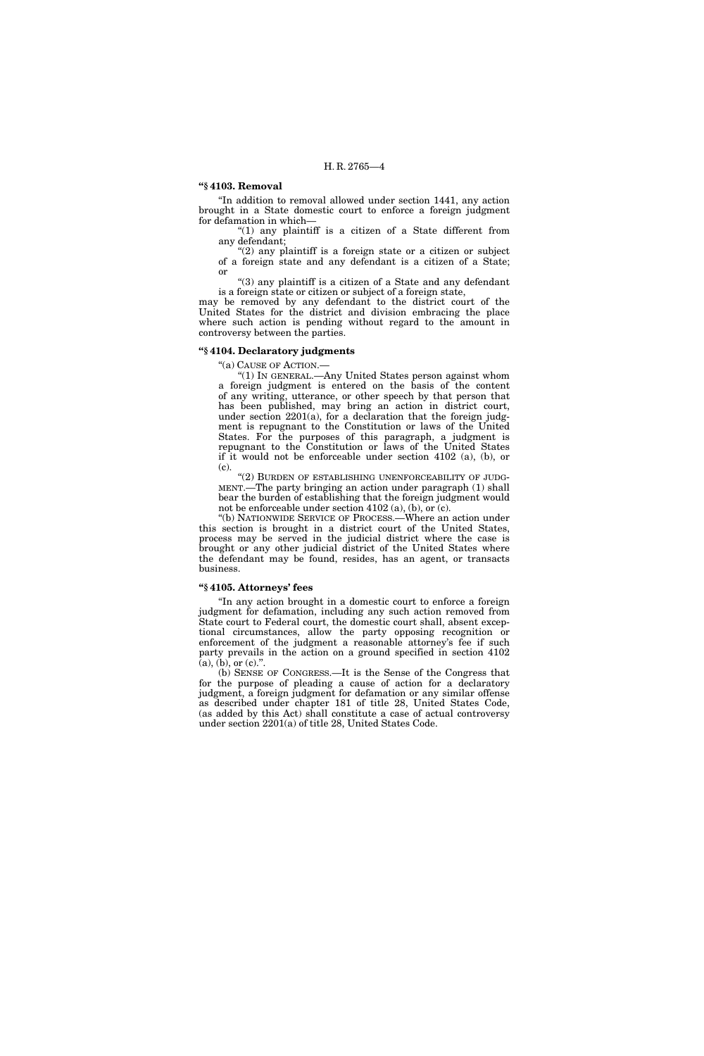### **''§ 4103. Removal**

''In addition to removal allowed under section 1441, any action brought in a State domestic court to enforce a foreign judgment for defamation in which—

''(1) any plaintiff is a citizen of a State different from any defendant;

" $(2)$  any plaintiff is a foreign state or a citizen or subject of a foreign state and any defendant is a citizen of a State; or

" $(3)$  any plaintiff is a citizen of a State and any defendant is a foreign state or citizen or subject of a foreign state,

may be removed by any defendant to the district court of the United States for the district and division embracing the place where such action is pending without regard to the amount in controversy between the parties.

### **''§ 4104. Declaratory judgments**

''(a) CAUSE OF ACTION.—

''(1) IN GENERAL.—Any United States person against whom a foreign judgment is entered on the basis of the content of any writing, utterance, or other speech by that person that has been published, may bring an action in district court, under section 2201(a), for a declaration that the foreign judgment is repugnant to the Constitution or laws of the United States. For the purposes of this paragraph, a judgment is repugnant to the Constitution or laws of the United States if it would not be enforceable under section 4102 (a), (b), or (c).

"(2) BURDEN OF ESTABLISHING UNENFORCEABILITY OF JUDG-MENT.—The party bringing an action under paragraph (1) shall bear the burden of establishing that the foreign judgment would not be enforceable under section 4102 (a), (b), or (c).

''(b) NATIONWIDE SERVICE OF PROCESS.—Where an action under this section is brought in a district court of the United States, process may be served in the judicial district where the case is brought or any other judicial district of the United States where the defendant may be found, resides, has an agent, or transacts business.

#### **''§ 4105. Attorneys' fees**

''In any action brought in a domestic court to enforce a foreign judgment for defamation, including any such action removed from State court to Federal court, the domestic court shall, absent exceptional circumstances, allow the party opposing recognition or enforcement of the judgment a reasonable attorney's fee if such party prevails in the action on a ground specified in section 4102  $(a)$ ,  $(b)$ , or  $(c)$ .".

(b) SENSE OF CONGRESS.—It is the Sense of the Congress that for the purpose of pleading a cause of action for a declaratory judgment, a foreign judgment for defamation or any similar offense as described under chapter 181 of title 28, United States Code, (as added by this Act) shall constitute a case of actual controversy under section 2201(a) of title 28, United States Code.